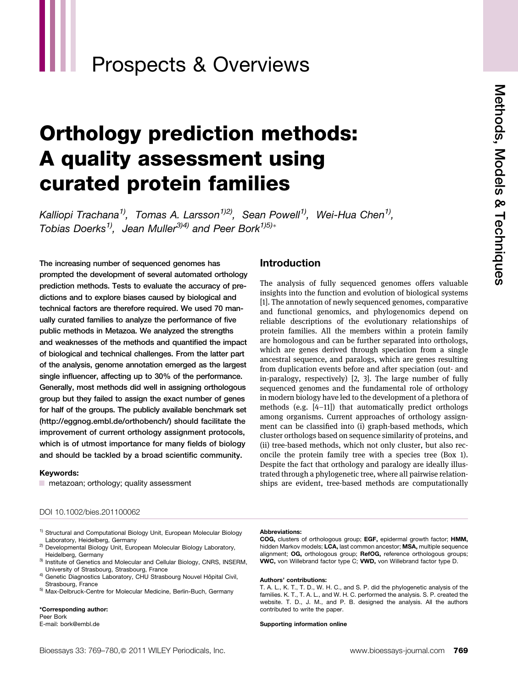# Prospects & Overviews

# Orthology prediction methods: A quality assessment using curated protein families

Kalliopi Trachana<sup>1)</sup>, Tomas A. Larsson<sup>1)2)</sup>, Sean Powell<sup>1)</sup>, Wei-Hua Chen<sup>1)</sup>, Tobias Doerks<sup>1)</sup>, Jean Muller<sup>3)4)</sup> and Peer Bork<sup>1)5)\*</sup>

The increasing number of sequenced genomes has prompted the development of several automated orthology prediction methods. Tests to evaluate the accuracy of predictions and to explore biases caused by biological and technical factors are therefore required. We used 70 manually curated families to analyze the performance of five public methods in Metazoa. We analyzed the strengths and weaknesses of the methods and quantified the impact of biological and technical challenges. From the latter part of the analysis, genome annotation emerged as the largest single influencer, affecting up to 30% of the performance. Generally, most methods did well in assigning orthologous group but they failed to assign the exact number of genes for half of the groups. The publicly available benchmark set (http://eggnog.embl.de/orthobench/) should facilitate the improvement of current orthology assignment protocols, which is of utmost importance for many fields of biology orthology; a broad scientific community.<br> **Keywords:**<br>
Interazoan; orthology; quality assessment

#### Keywords:

#### DOI 10.1002/bies.201100062

- <sup>1)</sup> Structural and Computational Biology Unit, European Molecular Biology
- Laboratory, Heidelberg, Germany<br><sup>2)</sup> Developmental Biology Unit, European Molecular Biology Laboratory,<br>Heidelberg, Germany
- 3) Institute of Genetics and Molecular and Cellular Biology, CNRS, INSERM,
- University of Strasbourg, Strasbourg, France<br>
<sup>4)</sup> Genetic Diagnostics Laboratory, CHU Strasbourg Nouvel Hôpital Civil,<br>
Strasbourg, France
- 5) Max-Delbruck-Centre for Molecular Medicine, Berlin-Buch, Germany

#### \*Corresponding author:

Peer Bork E-mail: bork@embl.de

## Introduction

The analysis of fully sequenced genomes offers valuable insights into the function and evolution of biological systems [1]. The annotation of newly sequenced genomes, comparative and functional genomics, and phylogenomics depend on reliable descriptions of the evolutionary relationships of protein families. All the members within a protein family are homologous and can be further separated into orthologs, which are genes derived through speciation from a single ancestral sequence, and paralogs, which are genes resulting from duplication events before and after speciation (out- and in-paralogy, respectively) [2, 3]. The large number of fully sequenced genomes and the fundamental role of orthology in modern biology have led to the development of a plethora of methods (e.g. [4–11]) that automatically predict orthologs among organisms. Current approaches of orthology assignment can be classified into (i) graph-based methods, which cluster orthologs based on sequence similarity of proteins, and (ii) tree-based methods, which not only cluster, but also reconcile the protein family tree with a species tree (Box 1). Despite the fact that orthology and paralogy are ideally illustrated through a phylogenetic tree, where all pairwise relationships are evident, tree-based methods are computationally

#### Abbreviations:

COG, clusters of orthologous group; EGF, epidermal growth factor; HMM, hidden Markov models; LCA, last common ancestor; MSA, multiple sequence alignment; OG, orthologous group; RefOG, reference orthologous groups; VWC, von Willebrand factor type C; VWD, von Willebrand factor type D.

#### Authors' contributions:

T. A. L., K. T., T. D., W. H. C., and S. P. did the phylogenetic analysis of the families. K. T., T. A. L., and W. H. C. performed the analysis. S. P. created the website. T. D., J. M., and P. B. designed the analysis. All the authors contributed to write the paper.

Supporting information online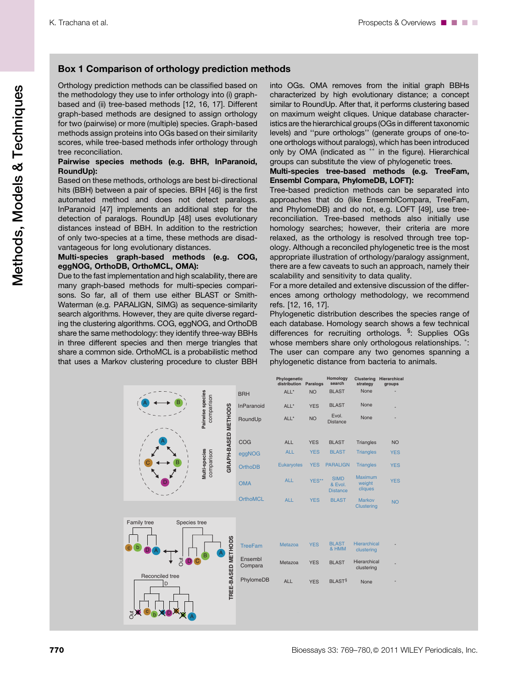# Box 1 Comparison of orthology prediction methods

Orthology prediction methods can be classified based on the methodology they use to infer orthology into (i) graphbased and (ii) tree-based methods [12, 16, 17]. Different graph-based methods are designed to assign orthology for two (pairwise) or more (multiple) species. Graph-based methods assign proteins into OGs based on their similarity scores, while tree-based methods infer orthology through tree reconciliation.

#### Pairwise species methods (e.g. BHR, InParanoid, RoundUp):

Based on these methods, orthologs are best bi-directional hits (BBH) between a pair of species. BRH [46] is the first automated method and does not detect paralogs. InParanoid [47] implements an additional step for the detection of paralogs. RoundUp [48] uses evolutionary distances instead of BBH. In addition to the restriction of only two-species at a time, these methods are disadvantageous for long evolutionary distances.

#### Multi-species graph-based methods (e.g. COG, eggNOG, OrthoDB, OrthoMCL, OMA):

Due to the fast implementation and high scalability, there are many graph-based methods for multi-species comparisons. So far, all of them use either BLAST or Smith-Waterman (e.g. PARALIGN, SIMG) as sequence-similarity search algorithms. However, they are quite diverse regarding the clustering algorithms. COG, eggNOG, and OrthoDB share the same methodology: they identify three-way BBHs in three different species and then merge triangles that share a common side. OrthoMCL is a probabilistic method that uses a Markov clustering procedure to cluster BBH

into OGs. OMA removes from the initial graph BBHs characterized by high evolutionary distance; a concept similar to RoundUp. After that, it performs clustering based on maximum weight cliques. Unique database characteristics are the hierarchical groups (OGs in different taxonomic levels) and ''pure orthologs'' (generate groups of one-toone orthologs without paralogs), which has been introduced only by OMA (indicated as \*\* in the figure). Hierarchical groups can substitute the view of phylogenetic trees.

#### Multi-species tree-based methods (e.g. TreeFam, Ensembl Compara, PhylomeDB, LOFT):

Tree-based prediction methods can be separated into approaches that do (like EnsemblCompara, TreeFam, and PhylomeDB) and do not, e.g. LOFT [49], use treereconciliation. Tree-based methods also initially use homology searches; however, their criteria are more relaxed, as the orthology is resolved through tree topology. Although a reconciled phylogenetic tree is the most appropriate illustration of orthology/paralogy assignment, there are a few caveats to such an approach, namely their scalability and sensitivity to data quality.

For a more detailed and extensive discussion of the differences among orthology methodology, we recommend refs. [12, 16, 17].

Phylogenetic distribution describes the species range of each database. Homology search shows a few technical differences for recruiting orthologs. <sup>§</sup>: Supplies OGs whose members share only orthologous relationships. \*: The user can compare any two genomes spanning a phylogenetic distance from bacteria to animals.

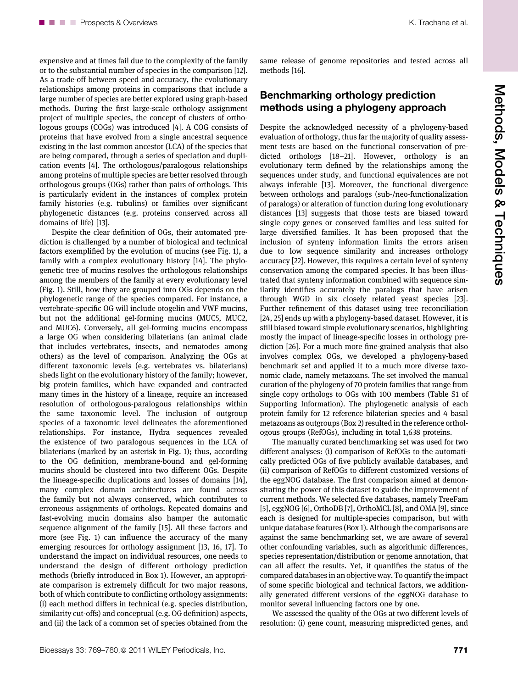expensive and at times fail due to the complexity of the family or to the substantial number of species in the comparison [12]. As a trade-off between speed and accuracy, the evolutionary relationships among proteins in comparisons that include a large number of species are better explored using graph-based methods. During the first large-scale orthology assignment project of multiple species, the concept of clusters of orthologous groups (COGs) was introduced [4]. A COG consists of proteins that have evolved from a single ancestral sequence existing in the last common ancestor (LCA) of the species that are being compared, through a series of speciation and duplication events [4]. The orthologous/paralogous relationships among proteins of multiple species are better resolved through orthologous groups (OGs) rather than pairs of orthologs. This is particularly evident in the instances of complex protein family histories (e.g. tubulins) or families over significant phylogenetic distances (e.g. proteins conserved across all domains of life) [13].

Despite the clear definition of OGs, their automated prediction is challenged by a number of biological and technical factors exemplified by the evolution of mucins (see Fig. 1), a family with a complex evolutionary history [14]. The phylogenetic tree of mucins resolves the orthologous relationships among the members of the family at every evolutionary level (Fig. 1). Still, how they are grouped into OGs depends on the phylogenetic range of the species compared. For instance, a vertebrate-specific OG will include otogelin and VWF mucins, but not the additional gel-forming mucins (MUC5, MUC2, and MUC6). Conversely, all gel-forming mucins encompass a large OG when considering bilaterians (an animal clade that includes vertebrates, insects, and nematodes among others) as the level of comparison. Analyzing the OGs at different taxonomic levels (e.g. vertebrates vs. bilaterians) sheds light on the evolutionary history of the family; however, big protein families, which have expanded and contracted many times in the history of a lineage, require an increased resolution of orthologous-paralogous relationships within the same taxonomic level. The inclusion of outgroup species of a taxonomic level delineates the aforementioned relationships. For instance, Hydra sequences revealed the existence of two paralogous sequences in the LCA of bilaterians (marked by an asterisk in Fig. 1); thus, according to the OG definition, membrane-bound and gel-forming mucins should be clustered into two different OGs. Despite the lineage-specific duplications and losses of domains [14], many complex domain architectures are found across the family but not always conserved, which contributes to erroneous assignments of orthologs. Repeated domains and fast-evolving mucin domains also hamper the automatic sequence alignment of the family [15]. All these factors and more (see Fig. 1) can influence the accuracy of the many emerging resources for orthology assignment [13, 16, 17]. To understand the impact on individual resources, one needs to understand the design of different orthology prediction methods (briefly introduced in Box 1). However, an appropriate comparison is extremely difficult for two major reasons, both of which contribute to conflicting orthology assignments: (i) each method differs in technical (e.g. species distribution, similarity cut-offs) and conceptual (e.g. OG definition) aspects, and (ii) the lack of a common set of species obtained from the same release of genome repositories and tested across all methods [16].

## Benchmarking orthology prediction methods using a phylogeny approach

Despite the acknowledged necessity of a phylogeny-based evaluation of orthology, thus far the majority of quality assessment tests are based on the functional conservation of predicted orthologs [18–21]. However, orthology is an evolutionary term defined by the relationships among the sequences under study, and functional equivalences are not always inferable [13]. Moreover, the functional divergence between orthologs and paralogs (sub-/neo-functionalization of paralogs) or alteration of function during long evolutionary distances [13] suggests that those tests are biased toward single copy genes or conserved families and less suited for large diversified families. It has been proposed that the inclusion of synteny information limits the errors arisen due to low sequence similarity and increases orthology accuracy [22]. However, this requires a certain level of synteny conservation among the compared species. It has been illustrated that synteny information combined with sequence similarity identifies accurately the paralogs that have arisen through WGD in six closely related yeast species [23]. Further refinement of this dataset using tree reconciliation [24, 25] ends up with a phylogeny-based dataset. However, it is still biased toward simple evolutionary scenarios, highlighting mostly the impact of lineage-specific losses in orthology prediction [26]. For a much more fine-grained analysis that also involves complex OGs, we developed a phylogeny-based benchmark set and applied it to a much more diverse taxonomic clade, namely metazoans. The set involved the manual curation of the phylogeny of 70 protein families that range from single copy orthologs to OGs with 100 members (Table S1 of Supporting Information). The phylogenetic analysis of each protein family for 12 reference bilaterian species and 4 basal metazoans as outgroups (Box 2) resulted in the reference orthologous groups (RefOGs), including in total 1,638 proteins.

The manually curated benchmarking set was used for two different analyses: (i) comparison of RefOGs to the automatically predicted OGs of five publicly available databases, and (ii) comparison of RefOGs to different customized versions of the eggNOG database. The first comparison aimed at demonstrating the power of this dataset to guide the improvement of current methods. We selected five databases, namely TreeFam [5], eggNOG [6], OrthoDB [7], OrthoMCL [8], and OMA [9], since each is designed for multiple-species comparison, but with unique database features (Box 1). Although the comparisons are against the same benchmarking set, we are aware of several other confounding variables, such as algorithmic differences, species representation/distribution or genome annotation, that can all affect the results. Yet, it quantifies the status of the compared databases in an objective way. To quantify the impact of some specific biological and technical factors, we additionally generated different versions of the eggNOG database to monitor several influencing factors one by one.

We assessed the quality of the OGs at two different levels of resolution: (i) gene count, measuring mispredicted genes, and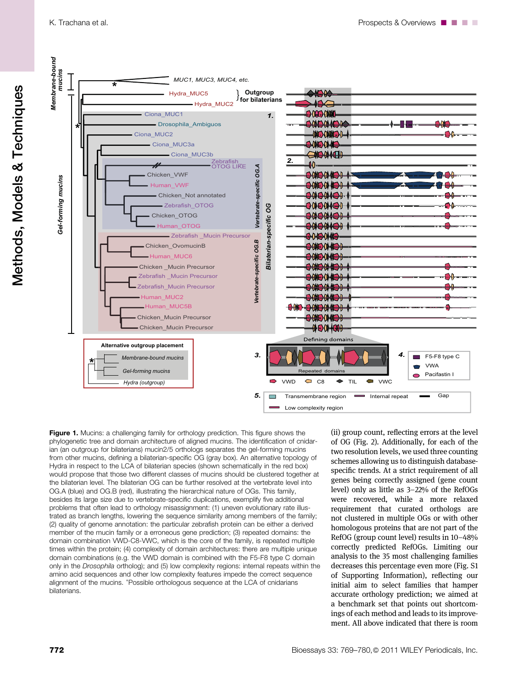

Figure 1. Mucins: a challenging family for orthology prediction. This figure shows the phylogenetic tree and domain architecture of aligned mucins. The identification of cnidarian (an outgroup for bilaterians) mucin2/5 orthologs separates the gel-forming mucins from other mucins, defining a bilaterian-specific OG (gray box). An alternative topology of Hydra in respect to the LCA of bilaterian species (shown schematically in the red box) would propose that those two different classes of mucins should be clustered together at the bilaterian level. The bilaterian OG can be further resolved at the vertebrate level into OG.A (blue) and OG.B (red), illustrating the hierarchical nature of OGs. This family, besides its large size due to vertebrate-specific duplications, exemplify five additional problems that often lead to orthology misassignment: (1) uneven evolutionary rate illustrated as branch lengths, lowering the sequence similarity among members of the family; (2) quality of genome annotation: the particular zebrafish protein can be either a derived member of the mucin family or a erroneous gene prediction; (3) repeated domains: the domain combination VWD-C8-VWC, which is the core of the family, is repeated multiple times within the protein; (4) complexity of domain architectures: there are multiple unique domain combinations (e.g. the VWD domain is combined with the F5-F8 type C domain only in the Drosophila ortholog); and (5) low complexity regions: internal repeats within the amino acid sequences and other low complexity features impede the correct sequence alignment of the mucins. Possible orthologous sequence at the LCA of cnidarians bilaterians.

(ii) group count, reflecting errors at the level of OG (Fig. 2). Additionally, for each of the two resolution levels, we used three counting schemes allowing us to distinguish databasespecific trends. At a strict requirement of all genes being correctly assigned (gene count level) only as little as 3–22% of the RefOGs were recovered, while a more relaxed requirement that curated orthologs are not clustered in multiple OGs or with other homologous proteins that are not part of the RefOG (group count level) results in 10–48% correctly predicted RefOGs. Limiting our analysis to the 35 most challenging families decreases this percentage even more (Fig. S1 of Supporting Information), reflecting our initial aim to select families that hamper accurate orthology prediction; we aimed at a benchmark set that points out shortcomings of each method and leads to its improvement. All above indicated that there is room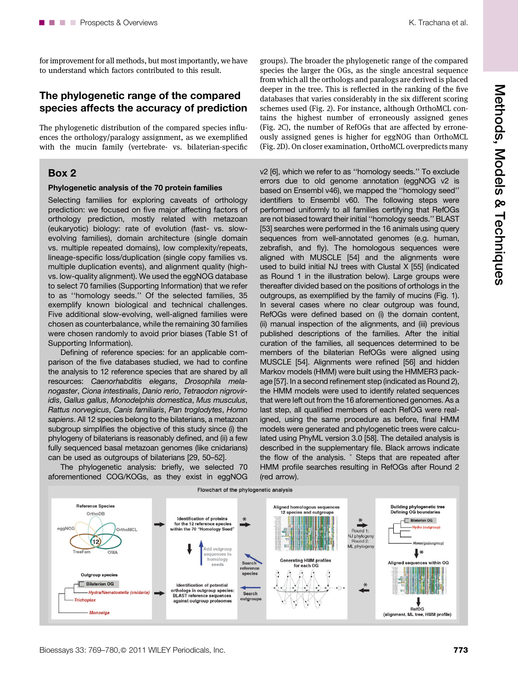for improvement for all methods, but most importantly, we have to understand which factors contributed to this result.

## The phylogenetic range of the compared species affects the accuracy of prediction

The phylogenetic distribution of the compared species influences the orthology/paralogy assignment, as we exemplified with the mucin family (vertebrate- vs. bilaterian-specific

### Box 2

#### Phylogenetic analysis of the 70 protein families

Selecting families for exploring caveats of orthology prediction: we focused on five major affecting factors of orthology prediction, mostly related with metazoan (eukaryotic) biology: rate of evolution (fast- vs. slowevolving families), domain architecture (single domain vs. multiple repeated domains), low complexity/repeats, lineage-specific loss/duplication (single copy families vs. multiple duplication events), and alignment quality (highvs. low-quality alignment). We used the eggNOG database to select 70 families (Supporting Information) that we refer to as ''homology seeds.'' Of the selected families, 35 exemplify known biological and technical challenges. Five additional slow-evolving, well-aligned families were chosen as counterbalance, while the remaining 30 families were chosen randomly to avoid prior biases (Table S1 of Supporting Information).

Defining of reference species: for an applicable comparison of the five databases studied, we had to confine the analysis to 12 reference species that are shared by all resources: Caenorhabditis elegans, Drosophila melanogaster, Ciona intestinalis, Danio rerio, Tetraodon nigroviridis, Gallus gallus, Monodelphis domestica, Mus musculus, Rattus norvegicus, Canis familiaris, Pan troglodytes, Homo sapiens. All 12 species belong to the bilaterians, a metazoan subgroup simplifies the objective of this study since (i) the phylogeny of bilaterians is reasonably defined, and (ii) a few fully sequenced basal metazoan genomes (like cnidarians) can be used as outgroups of bilaterians [29, 50–52].

The phylogenetic analysis: briefly, we selected 70 aforementioned COG/KOGs, as they exist in eggNOG

groups). The broader the phylogenetic range of the compared species the larger the OGs, as the single ancestral sequence from which all the orthologs and paralogs are derived is placed deeper in the tree. This is reflected in the ranking of the five databases that varies considerably in the six different scoring schemes used (Fig. 2). For instance, although OrthoMCL contains the highest number of erroneously assigned genes (Fig. 2C), the number of RefOGs that are affected by erroneously assigned genes is higher for eggNOG than OrthoMCL (Fig. 2D). On closer examination, OrthoMCL overpredicts many

v2 [6], which we refer to as ''homology seeds.'' To exclude errors due to old genome annotation (eggNOG v2 is based on Ensembl v46), we mapped the ''homology seed'' identifiers to Ensembl v60. The following steps were performed uniformly to all families certifying that RefOGs are not biased toward their initial ''homology seeds.'' BLAST [53] searches were performed in the 16 animals using query sequences from well-annotated genomes (e.g. human, zebrafish, and fly). The homologous sequences were aligned with MUSCLE [54] and the alignments were used to build initial NJ trees with Clustal X [55] (indicated as Round 1 in the illustration below). Large groups were thereafter divided based on the positions of orthologs in the outgroups, as exemplified by the family of mucins (Fig. 1). In several cases where no clear outgroup was found, RefOGs were defined based on (i) the domain content, (ii) manual inspection of the alignments, and (iii) previous published descriptions of the families. After the initial curation of the families, all sequences determined to be members of the bilaterian RefOGs were aligned using MUSCLE [54]. Alignments were refined [56] and hidden Markov models (HMM) were built using the HMMER3 package [57]. In a second refinement step (indicated as Round 2), the HMM models were used to identify related sequences that were left out from the 16 aforementioned genomes. As a last step, all qualified members of each RefOG were realigned, using the same procedure as before, final HMM models were generated and phylogenetic trees were calculated using PhyML version 3.0 [58]. The detailed analysis is described in the supplementary file. Black arrows indicate the flow of the analysis.  $*$  Steps that are repeated after HMM profile searches resulting in RefOGs after Round 2 (red arrow).

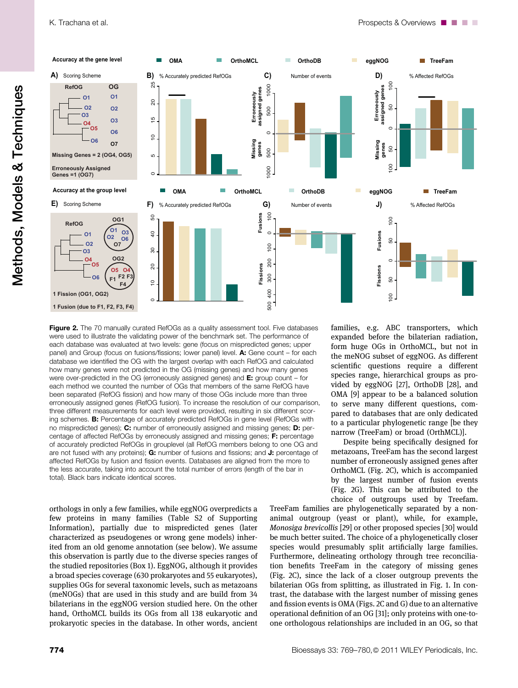

Figure 2. The 70 manually curated RefOGs as a quality assessment tool. Five databases were used to illustrate the validating power of the benchmark set. The performance of each database was evaluated at two levels: gene (focus on mispredicted genes; upper panel) and Group (focus on fusions/fissions; lower panel) level. A: Gene count – for each database we identified the OG with the largest overlap with each RefOG and calculated how many genes were not predicted in the OG (missing genes) and how many genes were over-predicted in the OG (erroneously assigned genes) and E: group count – for each method we counted the number of OGs that members of the same RefOG have been separated (RefOG fission) and how many of those OGs include more than three erroneously assigned genes (RefOG fusion). To increase the resolution of our comparison, three different measurements for each level were provided, resulting in six different scoring schemes. B: Percentage of accurately predicted RefOGs in gene level (RefOGs with no mispredicted genes); C: number of erroneously assigned and missing genes; D: percentage of affected RefOGs by erroneously assigned and missing genes; F: percentage of accurately predicted RefOGs in grouplevel (all RefOG members belong to one OG and are not fused with any proteins); **G:** number of fusions and fissions; and **J:** percentage of affected RefOGs by fusion and fission events. Databases are aligned from the more to the less accurate, taking into account the total number of errors (length of the bar in

orthologs in only a few families, while eggNOG overpredicts a few proteins in many families (Table S2 of Supporting Information), partially due to mispredicted genes (later characterized as pseudogenes or wrong gene models) inherited from an old genome annotation (see below). We assume this observation is partly due to the diverse species ranges of the studied repositories (Box 1). EggNOG, although it provides a broad species coverage (630 prokaryotes and 55 eukaryotes), supplies OGs for several taxonomic levels, such as metazoans (meNOGs) that are used in this study and are build from 34 bilaterians in the eggNOG version studied here. On the other hand, OrthoMCL builds its OGs from all 138 eukaryotic and prokaryotic species in the database. In other words, ancient families, e.g. ABC transporters, which expanded before the bilaterian radiation, form huge OGs in OrthoMCL, but not in the meNOG subset of eggNOG. As different scientific questions require a different species range, hierarchical groups as provided by eggNOG [27], OrthoDB [28], and OMA [9] appear to be a balanced solution to serve many different questions, compared to databases that are only dedicated to a particular phylogenetic range [be they narrow (TreeFam) or broad (OrthMCL)].

Despite being specifically designed for metazoans, TreeFam has the second largest number of erroneously assigned genes after OrthoMCL (Fig. 2C), which is accompanied by the largest number of fusion events (Fig. 2G). This can be attributed to the choice of outgroups used by Treefam.

TreeFam families are phylogenetically separated by a nonanimal outgroup (yeast or plant), while, for example, Monosiga brevicollis [29] or other proposed species [30] would be much better suited. The choice of a phylogenetically closer species would presumably split artificially large families. Furthermore, delineating orthology through tree reconciliation benefits TreeFam in the category of missing genes (Fig. 2C), since the lack of a closer outgroup prevents the bilaterian OGs from splitting, as illustrated in Fig. 1. In contrast, the database with the largest number of missing genes and fission events is OMA (Figs. 2C and G) due to an alternative operational definition of an OG [31]; only proteins with one-toone orthologous relationships are included in an OG, so that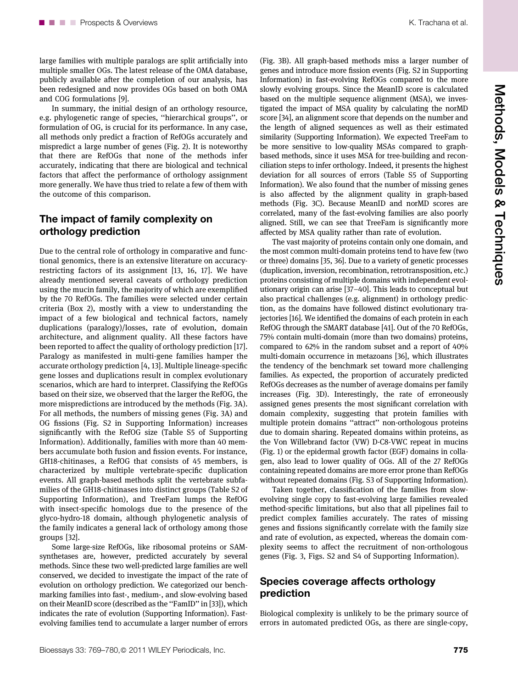large families with multiple paralogs are split artificially into multiple smaller OGs. The latest release of the OMA database, publicly available after the completion of our analysis, has been redesigned and now provides OGs based on both OMA and COG formulations [9].

In summary, the initial design of an orthology resource, e.g. phylogenetic range of species, ''hierarchical groups'', or formulation of OG, is crucial for its performance. In any case, all methods only predict a fraction of RefOGs accurately and mispredict a large number of genes (Fig. 2). It is noteworthy that there are RefOGs that none of the methods infer accurately, indicating that there are biological and technical factors that affect the performance of orthology assignment more generally. We have thus tried to relate a few of them with the outcome of this comparison.

## The impact of family complexity on orthology prediction

Due to the central role of orthology in comparative and functional genomics, there is an extensive literature on accuracyrestricting factors of its assignment [13, 16, 17]. We have already mentioned several caveats of orthology prediction using the mucin family, the majority of which are exemplified by the 70 RefOGs. The families were selected under certain criteria (Box 2), mostly with a view to understanding the impact of a few biological and technical factors, namely duplications (paralogy)/losses, rate of evolution, domain architecture, and alignment quality. All these factors have been reported to affect the quality of orthology prediction [17]. Paralogy as manifested in multi-gene families hamper the accurate orthology prediction [4, 13]. Multiple lineage-specific gene losses and duplications result in complex evolutionary scenarios, which are hard to interpret. Classifying the RefOGs based on their size, we observed that the larger the RefOG, the more mispredictions are introduced by the methods (Fig. 3A). For all methods, the numbers of missing genes (Fig. 3A) and OG fissions (Fig. S2 in Supporting Information) increases significantly with the RefOG size (Table S5 of Supporting Information). Additionally, families with more than 40 members accumulate both fusion and fission events. For instance, GH18-chitinases, a RefOG that consists of 45 members, is characterized by multiple vertebrate-specific duplication events. All graph-based methods split the vertebrate subfamilies of the GH18-chitinases into distinct groups (Table S2 of Supporting Information), and TreeFam lumps the RefOG with insect-specific homologs due to the presence of the glyco-hydro-18 domain, although phylogenetic analysis of the family indicates a general lack of orthology among those groups [32].

Some large-size RefOGs, like ribosomal proteins or SAMsynthetases are, however, predicted accurately by several methods. Since these two well-predicted large families are well conserved, we decided to investigate the impact of the rate of evolution on orthology prediction. We categorized our benchmarking families into fast-, medium-, and slow-evolving based on their MeanID score (described as the ''FamID'' in [33]), which indicates the rate of evolution (Supporting Information). Fastevolving families tend to accumulate a larger number of errors

(Fig. 3B). All graph-based methods miss a larger number of genes and introduce more fission events (Fig. S2 in Supporting Information) in fast-evolving RefOGs compared to the more slowly evolving groups. Since the MeanID score is calculated based on the multiple sequence alignment (MSA), we investigated the impact of MSA quality by calculating the norMD score [34], an alignment score that depends on the number and the length of aligned sequences as well as their estimated similarity (Supporting Information). We expected TreeFam to be more sensitive to low-quality MSAs compared to graphbased methods, since it uses MSA for tree-building and reconciliation steps to infer orthology. Indeed, it presents the highest deviation for all sources of errors (Table S5 of Supporting Information). We also found that the number of missing genes is also affected by the alignment quality in graph-based methods (Fig. 3C). Because MeanID and norMD scores are correlated, many of the fast-evolving families are also poorly aligned. Still, we can see that TreeFam is significantly more affected by MSA quality rather than rate of evolution.

The vast majority of proteins contain only one domain, and the most common multi-domain proteins tend to have few (two or three) domains [35, 36]. Due to a variety of genetic processes (duplication, inversion, recombination, retrotransposition, etc.) proteins consisting of multiple domains with independent evolutionary origin can arise [37–40]. This leads to conceptual but also practical challenges (e.g. alignment) in orthology prediction, as the domains have followed distinct evolutionary trajectories [16]. We identified the domains of each protein in each RefOG through the SMART database [41]. Out of the 70 RefOGs, 75% contain multi-domain (more than two domains) proteins, compared to 62% in the random subset and a report of 40% multi-domain occurrence in metazoans [36], which illustrates the tendency of the benchmark set toward more challenging families. As expected, the proportion of accurately predicted RefOGs decreases as the number of average domains per family increases (Fig. 3D). Interestingly, the rate of erroneously assigned genes presents the most significant correlation with domain complexity, suggesting that protein families with multiple protein domains ''attract'' non-orthologous proteins due to domain sharing. Repeated domains within proteins, as the Von Willebrand factor (VW) D-C8-VWC repeat in mucins (Fig. 1) or the epidermal growth factor (EGF) domains in collagen, also lead to lower quality of OGs. All of the 27 RefOGs containing repeated domains are more error prone than RefOGs without repeated domains (Fig. S3 of Supporting Information).

Taken together, classification of the families from slowevolving single copy to fast-evolving large families revealed method-specific limitations, but also that all pipelines fail to predict complex families accurately. The rates of missing genes and fissions significantly correlate with the family size and rate of evolution, as expected, whereas the domain complexity seems to affect the recruitment of non-orthologous genes (Fig. 3, Figs. S2 and S4 of Supporting Information).

# Species coverage affects orthology prediction

Biological complexity is unlikely to be the primary source of errors in automated predicted OGs, as there are single-copy,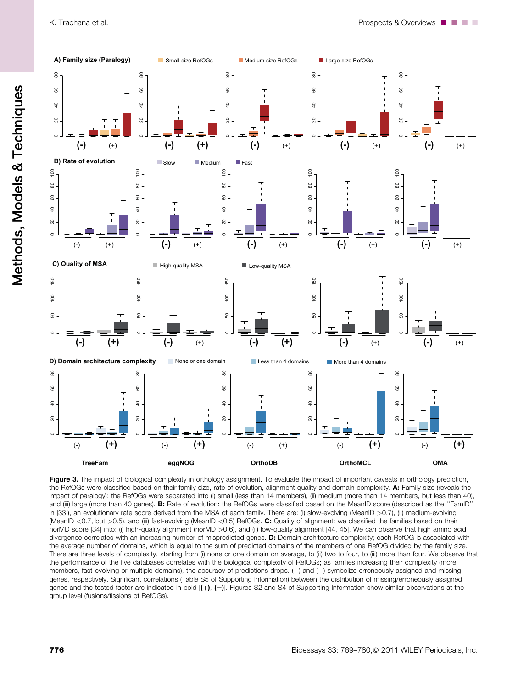

Figure 3. The impact of biological complexity in orthology assignment. To evaluate the impact of important caveats in orthology prediction, the RefOGs were classified based on their family size, rate of evolution, alignment quality and domain complexity. A: Family size (reveals the impact of paralogy): the RefOGs were separated into (i) small (less than 14 members), (ii) medium (more than 14 members, but less than 40), and (iii) large (more than 40 genes). B: Rate of evolution: the RefOGs were classified based on the MeanID score (described as the "FamID" in [33]), an evolutionary rate score derived from the MSA of each family. There are: (i) slow-evolving (MeanID >0.7), (ii) medium-evolving (MeanID <0.7, but >0.5), and (iii) fast-evolving (MeanID <0.5) RefOGs. C: Quality of alignment: we classified the families based on their norMD score [34] into: (i) high-quality alignment (norMD >0.6), and (ii) low-quality alignment [44, 45]. We can observe that high amino acid divergence correlates with an increasing number of mispredicted genes. D: Domain architecture complexity; each RefOG is associated with the average number of domains, which is equal to the sum of predicted domains of the members of one RefOG divided by the family size. There are three levels of complexity, starting from (i) none or one domain on average, to (ii) two to four, to (iii) more than four. We observe that the performance of the five databases correlates with the biological complexity of RefOGs; as families increasing their complexity (more members, fast-evolving or multiple domains), the accuracy of predictions drops. (+) and (–) symbolize erroneously assigned and missing genes, respectively. Significant correlations (Table S5 of Supporting Information) between the distribution of missing/erroneously assigned genes and the tested factor are indicated in bold [(+), (-)]. Figures S2 and S4 of Supporting Information show similar observations at the group level (fusions/fissions of RefOGs).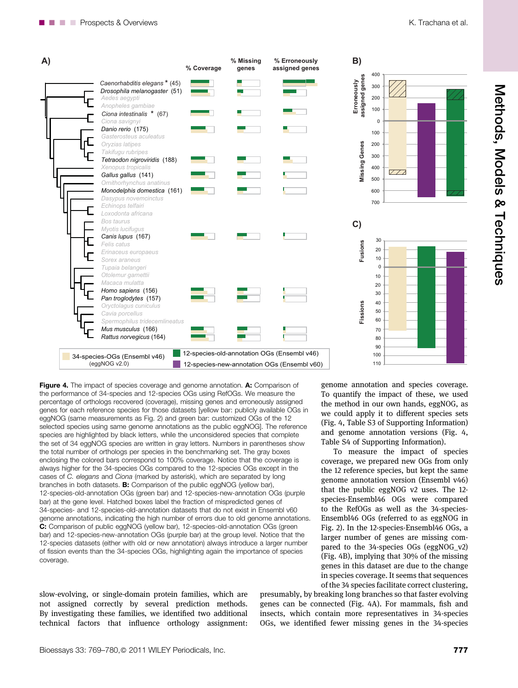| A)                                                                              | % Coverage | % Missing<br>genes | % Erroneously<br>assigned genes                                                            | B)                                                 |  |
|---------------------------------------------------------------------------------|------------|--------------------|--------------------------------------------------------------------------------------------|----------------------------------------------------|--|
| Caenorhabditis elegans * (45)<br>Drosophila melanogaster (51)<br>Aedes aegypti  |            |                    |                                                                                            | 400<br>assigned genes<br>Erroneously<br>300<br>200 |  |
| Anopheles gambiae<br>Ciona intestinalis * (67)<br>Ciona savignyi                |            |                    |                                                                                            | 100<br>$\mathbf 0$                                 |  |
| Danio rerio (175)<br>Gasterosteus aculeatus                                     |            |                    |                                                                                            | 100                                                |  |
| Oryzias latipes<br>Takifugu rubripes<br>Tetraodon nigroviridis (188)            |            |                    |                                                                                            | 200<br>300                                         |  |
| Xenopus tropicalis<br>Gallus gallus (141)                                       |            |                    |                                                                                            | <b>Missing Genes</b><br>400<br>$\sqrt{7}$<br>500   |  |
| Ornithorhynchus anatinus<br>Monodelphis domestica (161)<br>Dasypus novemcinctus |            |                    |                                                                                            | 600                                                |  |
| Echinops telfairi<br>Loxodonta africana                                         |            |                    |                                                                                            | 700                                                |  |
| Bos taurus<br>Myotis lucifugus<br>Canis lupus (167)                             |            |                    |                                                                                            | C)                                                 |  |
| Felis catus<br>Erinaceus europaeus<br>Sorex araneus                             |            |                    |                                                                                            | 30<br>Fusions<br>20<br>10                          |  |
| Tupaia belangeri<br>Otolemur garnettii<br>Macaca mulatta                        |            |                    |                                                                                            | 0<br>10<br>20                                      |  |
| Homo sapiens (156)<br>Pan troglodytes (157)<br>Oryctolagus cuniculus            |            |                    |                                                                                            | 30<br>40<br>50                                     |  |
| Cavia porcellus<br>Spermophilus tridecemlineatus<br>Mus musculus (166)          |            |                    |                                                                                            | Fissions<br>60<br>70                               |  |
| Rattus norvegicus (164)                                                         |            |                    |                                                                                            | 80<br>90                                           |  |
| 34-species-OGs (Ensembl v46)<br>(eggNOG v2.0)                                   |            |                    | 12-species-old-annotation OGs (Ensembl v46)<br>12-species-new-annotation OGs (Ensembl v60) | 100<br>110                                         |  |

Methods, Models &Techniques

Figure 4. The impact of species coverage and genome annotation. A: Comparison of the performance of 34-species and 12-species OGs using RefOGs. We measure the percentage of orthologs recovered (coverage), missing genes and erroneously assigned genes for each reference species for those datasets [yellow bar: publicly available OGs in eggNOG (same measurements as Fig. 2) and green bar: customized OGs of the 12 selected species using same genome annotations as the public eggNOG]. The reference species are highlighted by black letters, while the unconsidered species that complete the set of 34 eggNOG species are written in gray letters. Numbers in parentheses show the total number of orthologs per species in the benchmarking set. The gray boxes enclosing the colored bars correspond to 100% coverage. Notice that the coverage is always higher for the 34-species OGs compared to the 12-species OGs except in the cases of C. elegans and Ciona (marked by asterisk), which are separated by long branches in both datasets. B: Comparison of the public eggNOG (yellow bar), 12-species-old-annotation OGs (green bar) and 12-species-new-annotation OGs (purple bar) at the gene level. Hatched boxes label the fraction of mispredicted genes of 34-species- and 12-species-old-annotation datasets that do not exist in Ensembl v60 genome annotations, indicating the high number of errors due to old genome annotations. C: Comparison of public eggNOG (yellow bar), 12-species-old-annotation OGs (green bar) and 12-species-new-annotation OGs (purple bar) at the group level. Notice that the 12-species datasets (either with old or new annotation) always introduce a larger number of fission events than the 34-species OGs, highlighting again the importance of species coverage.

slow-evolving, or single-domain protein families, which are not assigned correctly by several prediction methods. By investigating these families, we identified two additional technical factors that influence orthology assignment: genome annotation and species coverage. To quantify the impact of these, we used the method in our own hands, eggNOG, as we could apply it to different species sets (Fig. 4, Table S3 of Supporting Information) and genome annotation versions (Fig. 4, Table S4 of Supporting Information).

To measure the impact of species coverage, we prepared new OGs from only the 12 reference species, but kept the same genome annotation version (Ensembl v46) that the public eggNOG v2 uses. The 12 species-Ensembl46 OGs were compared to the RefOGs as well as the 34-species-Ensembl46 OGs (referred to as eggNOG in Fig. 2). In the 12-species-Ensembl46 OGs, a larger number of genes are missing compared to the 34-species OGs (eggNOG\_v2) (Fig. 4B), implying that 30% of the missing genes in this dataset are due to the change in species coverage. It seems that sequences of the 34 species facilitate correct clustering,

presumably, by breaking long branches so that faster evolving genes can be connected (Fig. 4A). For mammals, fish and insects, which contain more representatives in 34-species OGs, we identified fewer missing genes in the 34-species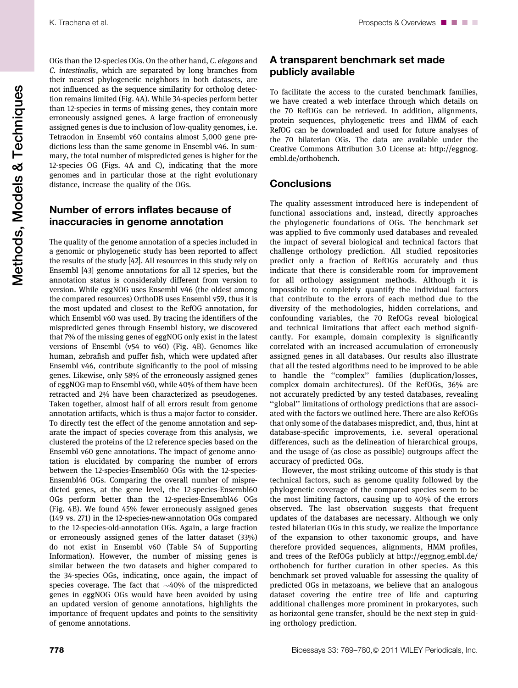OGs than the 12-species OGs. On the other hand, C. elegans and C. intestinalis, which are separated by long branches from their nearest phylogenetic neighbors in both datasets, are not influenced as the sequence similarity for ortholog detection remains limited (Fig. 4A). While 34-species perform better than 12-species in terms of missing genes, they contain more erroneously assigned genes. A large fraction of erroneously assigned genes is due to inclusion of low-quality genomes, i.e. Tetraodon in Ensembl v60 contains almost 5,000 gene predictions less than the same genome in Ensembl v46. In summary, the total number of mispredicted genes is higher for the 12-species OG (Figs. 4A and C), indicating that the more genomes and in particular those at the right evolutionary distance, increase the quality of the OGs.

# Number of errors inflates because of inaccuracies in genome annotation

The quality of the genome annotation of a species included in a genomic or phylogenetic study has been reported to affect the results of the study [42]. All resources in this study rely on Ensembl [43] genome annotations for all 12 species, but the annotation status is considerably different from version to version. While eggNOG uses Ensembl v46 (the oldest among the compared resources) OrthoDB uses Ensembl v59, thus it is the most updated and closest to the RefOG annotation, for which Ensembl v60 was used. By tracing the identifiers of the mispredicted genes through Ensembl history, we discovered that 7% of the missing genes of eggNOG only exist in the latest versions of Ensembl (v54 to v60) (Fig. 4B). Genomes like human, zebrafish and puffer fish, which were updated after Ensembl v46, contribute significantly to the pool of missing genes. Likewise, only 58% of the erroneously assigned genes of eggNOG map to Ensembl v60, while 40% of them have been retracted and 2% have been characterized as pseudogenes. Taken together, almost half of all errors result from genome annotation artifacts, which is thus a major factor to consider. To directly test the effect of the genome annotation and separate the impact of species coverage from this analysis, we clustered the proteins of the 12 reference species based on the Ensembl v60 gene annotations. The impact of genome annotation is elucidated by comparing the number of errors between the 12-species-Ensembl60 OGs with the 12-species-Ensembl46 OGs. Comparing the overall number of mispredicted genes, at the gene level, the 12-species-Ensembl60 OGs perform better than the 12-species-Ensembl46 OGs (Fig. 4B). We found 45% fewer erroneously assigned genes (149 vs. 271) in the 12-species-new-annotation OGs compared to the 12-species-old-annotation OGs. Again, a large fraction or erroneously assigned genes of the latter dataset (33%) do not exist in Ensembl v60 (Table S4 of Supporting Information). However, the number of missing genes is similar between the two datasets and higher compared to the 34-species OGs, indicating, once again, the impact of species coverage. The fact that  $\sim$ 40% of the mispredicted genes in eggNOG OGs would have been avoided by using an updated version of genome annotations, highlights the importance of frequent updates and points to the sensitivity of genome annotations.

# A transparent benchmark set made publicly available

To facilitate the access to the curated benchmark families, we have created a web interface through which details on the 70 RefOGs can be retrieved. In addition, alignments, protein sequences, phylogenetic trees and HMM of each RefOG can be downloaded and used for future analyses of the 70 bilaterian OGs. The data are available under the Creative Commons Attribution 3.0 License at: http://eggnog. embl.de/orthobench.

# **Conclusions**

The quality assessment introduced here is independent of functional associations and, instead, directly approaches the phylogenetic foundations of OGs. The benchmark set was applied to five commonly used databases and revealed the impact of several biological and technical factors that challenge orthology prediction. All studied repositories predict only a fraction of RefOGs accurately and thus indicate that there is considerable room for improvement for all orthology assignment methods. Although it is impossible to completely quantify the individual factors that contribute to the errors of each method due to the diversity of the methodologies, hidden correlations, and confounding variables, the 70 RefOGs reveal biological and technical limitations that affect each method significantly. For example, domain complexity is significantly correlated with an increased accumulation of erroneously assigned genes in all databases. Our results also illustrate that all the tested algorithms need to be improved to be able to handle the ''complex'' families (duplication/losses, complex domain architectures). Of the RefOGs, 36% are not accurately predicted by any tested databases, revealing ''global'' limitations of orthology predictions that are associated with the factors we outlined here. There are also RefOGs that only some of the databases mispredict, and, thus, hint at database-specific improvements, i.e. several operational differences, such as the delineation of hierarchical groups, and the usage of (as close as possible) outgroups affect the accuracy of predicted OGs.

However, the most striking outcome of this study is that technical factors, such as genome quality followed by the phylogenetic coverage of the compared species seem to be the most limiting factors, causing up to 40% of the errors observed. The last observation suggests that frequent updates of the databases are necessary. Although we only tested bilaterian OGs in this study, we realize the importance of the expansion to other taxonomic groups, and have therefore provided sequences, alignments, HMM profiles, and trees of the RefOGs publicly at http://eggnog.embl.de/ orthobench for further curation in other species. As this benchmark set proved valuable for assessing the quality of predicted OGs in metazoans, we believe that an analogous dataset covering the entire tree of life and capturing additional challenges more prominent in prokaryotes, such as horizontal gene transfer, should be the next step in guiding orthology prediction.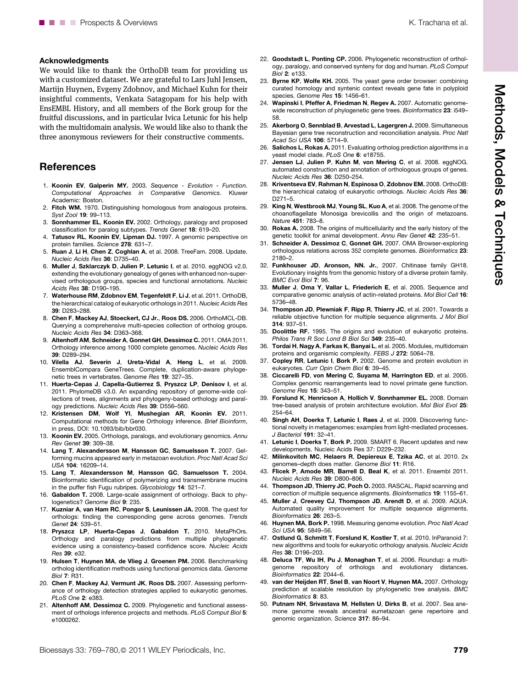#### Acknowledgments

We would like to thank the OrthoDB team for providing us with a customized dataset. We are grateful to Lars Juhl Jensen, Martijn Huynen, Evgeny Zdobnov, and Michael Kuhn for their insightful comments, Venkata Satagopam for his help with EnsEMBL History, and all members of the Bork group for the fruitful discussions, and in particular Ivica Letunic for his help with the multidomain analysis. We would like also to thank the three anonymous reviewers for their constructive comments.

### References

- 1. Koonin EV, Galperin MY. 2003. Sequence Evolution Function. Computational Approaches in Comparative Genomics. Kluwer Academic: Boston.
- 2. Fitch WM. 1970. Distinguishing homologous from analogous proteins. Syst Zool 19: 99–113.
- 3. Sonnhammer EL, Koonin EV. 2002. Orthology, paralogy and proposed classification for paralog subtypes. Trends Genet 18: 619–20.
- 4. Tatusov RL, Koonin EV, Lipman DJ. 1997. A genomic perspective on protein families. Science 278: 631-7.
- 5. Ruan J, Li H, Chen Z, Coghlan A, et al. 2008. TreeFam. 2008. Update. Nucleic Acids Res 36: D735–40.
- 6. Muller J, Szklarczyk D, Julien P, Letunic I, et al. 2010. eggNOG v2.0. extending the evolutionary genealogy of genes with enhanced non-supervised orthologous groups, species and functional annotations. Nucleic Acids Res 38: D190-195.
- 7. Waterhouse RM, Zdobnov EM, Tegenfeldt F, Li J, et al. 2011. OrthoDB, the hierarchical catalog of eukaryotic orthologs in 2011. Nucleic Acids Res 39: D283–288.
- 8. Chen F, Mackey AJ, Stoeckert, CJ Jr., Roos DS. 2006. OrthoMCL-DB. Querying a comprehensive multi-species collection of ortholog groups. Nucleic Acids Res 34: D363–368.
- 9. Altenhoff AM, Schneider A, Gonnet GH, Dessimoz C. 2011. OMA 2011. Orthology inference among 1000 complete genomes. Nucleic Acids Res 39: D289–294.
- Vilella AJ, Severin J, Ureta-Vidal A, Heng L, et al. 2009. EnsemblCompara GeneTrees. Complete, duplication-aware phylogenetic trees in vertebrates. Genome Res 19: 327–35.
- 11. Huerta-Cepas J, Capella-Gutierrez S, Pryszcz LP, Denisov I, et al. 2011. PhylomeDB v3.0. An expanding repository of genome-wide collections of trees, alignments and phylogeny-based orthology and paralogy predictions. Nucleic Acids Res 39: D556–560.
- 12. Kristensen DM, Wolf YI, Mushegian AR, Koonin EV. 2011. Computational methods for Gene Orthology inference. Brief Bioinform, in press, DOI: 10.1093/bib/bbr030.
- 13. Koonin EV. 2005. Orthologs, paralogs, and evolutionary genomics. Annu Rev Genet 39: 309–38.
- 14. Lang T, Alexandersson M, Hansson GC, Samuelsson T. 2007. Gelforming mucins appeared early in metazoan evolution. Proc Natl Acad Sci USA 104: 16209–14.
- 15. Lang T, Alexandersson M, Hansson GC, Samuelsson T. 2004. Bioinformatic identification of polymerizing and transmembrane mucins in the puffer fish Fugu rubripes. Glycobiology 14: 521–7.
- 16. Gabaldon T. 2008. Large-scale assignment of orthology. Back to phylogenetics? Genome Biol 9: 235.
- 17. Kuzniar A, van Ham RC, Pongor S, Leunissen JA. 2008. The quest for orthologs: finding the corresponding gene across genomes. Trends Genet 24: 539–51.
- 18. Pryszcz LP, Huerta-Cepas J, Gabaldon T. 2010. MetaPhOrs. Orthology and paralogy predictions from multiple phylogenetic evidence using a consistency-based confidence score. Nucleic Acids Res 39: e32.
- 19. Hulsen T, Huynen MA, de Vlieg J, Groenen PM. 2006. Benchmarking ortholog identification methods using functional genomics data. Genome Biol 7: R31.
- 20. Chen F, Mackey AJ, Vermunt JK, Roos DS. 2007. Assessing performance of orthology detection strategies applied to eukaryotic genomes. PLoS One 2: e383.
- 21. Altenhoff AM, Dessimoz C. 2009. Phylogenetic and functional assessment of orthologs inference projects and methods. PLoS Comput Biol 5: e1000262.
- 22. Goodstadt L, Ponting CP. 2006. Phylogenetic reconstruction of orthology, paralogy, and conserved synteny for dog and human. PLoS Comput Biol 2: e133.
- 23. Byrne KP, Wolfe KH. 2005. The yeast gene order browser: combining curated homology and syntenic context reveals gene fate in polyploid species. Genome Res 15: 1456-61.
- 24. Wapinski I, Pfeffer A, Friedman N, Regev A. 2007. Automatic genomewide reconstruction of phylogenetic gene trees. Bioinformatics 23: i549-58.
- 25. Akerborg O, Sennblad B, Arvestad L, Lagergren J. 2009. Simultaneous Bayesian gene tree reconstruction and reconciliation analysis. Proc Natl Acad Sci USA 106: 5714–9.
- 26. Salichos L, Rokas A. 2011. Evaluating ortholog prediction algorithms in a yeast model clade. PLoS One 6: e18755.
- 27. Jensen LJ, Julien P, Kuhn M, von Mering C, et al. 2008. eggNOG. automated construction and annotation of orthologous groups of genes. Nucleic Acids Res 36: D250–254.
- 28. Kriventseva EV, Rahman N, Espinosa O, Zdobnov EM. 2008. OrthoDB: the hierarchical catalog of eukaryotic orthologs. Nucleic Acids Res 36: D271–5.
- 29. King N, Westbrook MJ, Young SL, Kuo A, et al. 2008. The genome of the choanoflagellate Monosiga brevicollis and the origin of metazoans. Nature 451: 783–8.
- 30. Rokas A. 2008. The origins of multicellularity and the early history of the genetic toolkit for animal development. Annu Rev Genet 42: 235–51.
- Schneider A, Dessimoz C, Gonnet GH. 2007. OMA Browser-exploring orthologous relations across 352 complete genomes. Bioinformatics 23: 2180–2.
- 32. Funkhouser JD, Aronson, NN. Jr., 2007. Chitinase family GH18. Evolutionary insights from the genomic history of a diverse protein family. BMC Evol Biol 7: 96.
- 33. Muller J, Oma Y, Vallar L, Friederich E, et al. 2005. Sequence and comparative genomic analysis of actin-related proteins. Mol Biol Cell 16: 5736–48.
- 34. Thompson JD, Plewniak F, Ripp R, Thierry JC, et al. 2001. Towards a reliable objective function for multiple sequence alignments. J Mol Biol 314: 937–51.
- 35. Doolittle RF. 1995. The origins and evolution of eukaryotic proteins. Philos Trans R Soc Lond B Biol Sci 349: 235–40.
- 36. Tordai H, Nagy A, Farkas K, Banyai L, et al. 2005. Modules, multidomain proteins and organismic complexity. FEBS J 272: 5064-78.
- 37. Copley RR, Letunic I, Bork P. 2002. Genome and protein evolution in eukaryotes. Curr Opin Chem Biol 6: 39–45.
- 38. Ciccarelli FD, von Mering C, Suyama M, Harrington ED, et al. 2005. Complex genomic rearrangements lead to novel primate gene function. Genome Res 15: 343–51.
- 39. Forslund K, Henricson A, Hollich V, Sonnhammer EL. 2008. Domain tree-based analysis of protein architecture evolution. Mol Biol Evol 25: 254–64.
- 40. Singh AH, Doerks T, Letunic I, Raes J, et al. 2009. Discovering functional novelty in metagenomes: examples from light-mediated processes. J Bacteriol 191: 32–41.
- 41. Letunic I, Doerks T, Bork P. 2009. SMART 6. Recent updates and new developments. Nucleic Acids Res 37: D229–232.
- 42. Milinkovitch MC, Helaers R, Depiereux E, Tzika AC, et al. 2010. 2x genomes–depth does matter. Genome Biol 11: R16.
- 43. Flicek P, Amode MR, Barrell D, Beal K, et al. 2011. Ensembl 2011. Nucleic Acids Res 39: D800–806.
- 44. Thompson JD, Thierry JC, Poch O. 2003. RASCAL. Rapid scanning and correction of multiple sequence alignments. Bioinformatics 19: 1155–61.
- 45. Muller J, Creevey CJ, Thompson JD, Arendt D, et al. 2009. AQUA. Automated quality improvement for multiple sequence alignments. Bioinformatics 26: 263-5.
- 46. Huynen MA, Bork P. 1998. Measuring genome evolution. Proc Natl Acad Sci USA 95: 5849–56.
- 47. Ostlund G, Schmitt T, Forslund K, Kostler T, et al. 2010. InParanoid 7: new algorithms and tools for eukaryotic orthology analysis. Nucleic Acids Res 38: D196–203.
- 48. Deluca TF, Wu IH, Pu J, Monaghan T, et al. 2006. Roundup: a multigenome repository of orthologs and evolutionary distances. Bioinformatics 22: 2044–6.
- 49. van der Heijden RT, Snel B, van Noort V, Huynen MA. 2007. Orthology prediction at scalable resolution by phylogenetic tree analysis. BMC Bioinformatics 8: 83.
- 50. Putnam NH, Srivastava M, Hellsten U, Dirks B, et al. 2007. Sea anemone genome reveals ancestral eumetazoan gene repertoire and genomic organization. Science 317: 86–94.